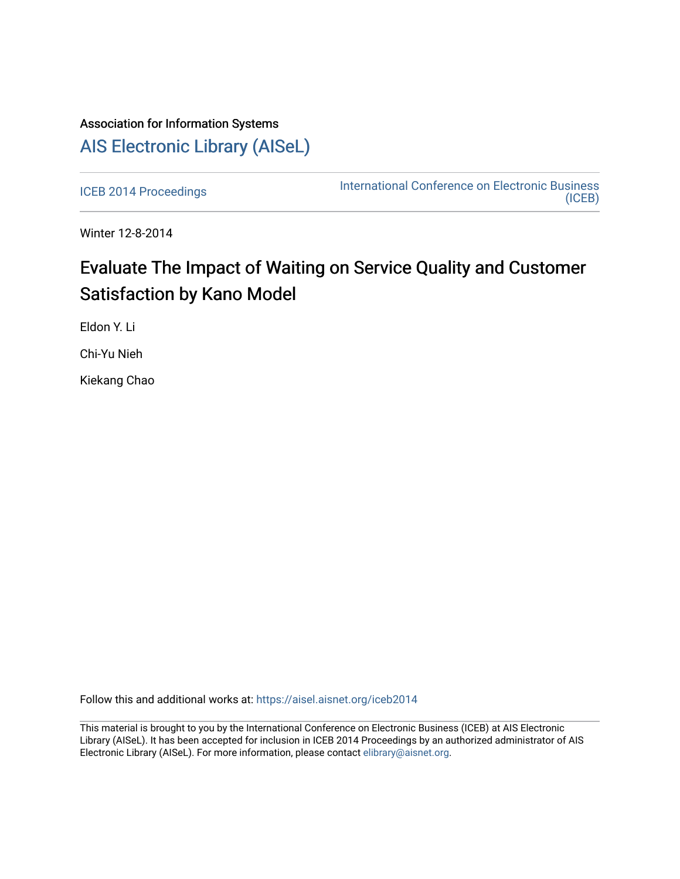# Association for Information Systems [AIS Electronic Library \(AISeL\)](https://aisel.aisnet.org/)

[ICEB 2014 Proceedings](https://aisel.aisnet.org/iceb2014) **International Conference on Electronic Business** [\(ICEB\)](https://aisel.aisnet.org/iceb) 

Winter 12-8-2014

# Evaluate The Impact of Waiting on Service Quality and Customer Satisfaction by Kano Model

Eldon Y. Li

Chi-Yu Nieh

Kiekang Chao

Follow this and additional works at: [https://aisel.aisnet.org/iceb2014](https://aisel.aisnet.org/iceb2014?utm_source=aisel.aisnet.org%2Ficeb2014%2F43&utm_medium=PDF&utm_campaign=PDFCoverPages)

This material is brought to you by the International Conference on Electronic Business (ICEB) at AIS Electronic Library (AISeL). It has been accepted for inclusion in ICEB 2014 Proceedings by an authorized administrator of AIS Electronic Library (AISeL). For more information, please contact [elibrary@aisnet.org.](mailto:elibrary@aisnet.org%3E)